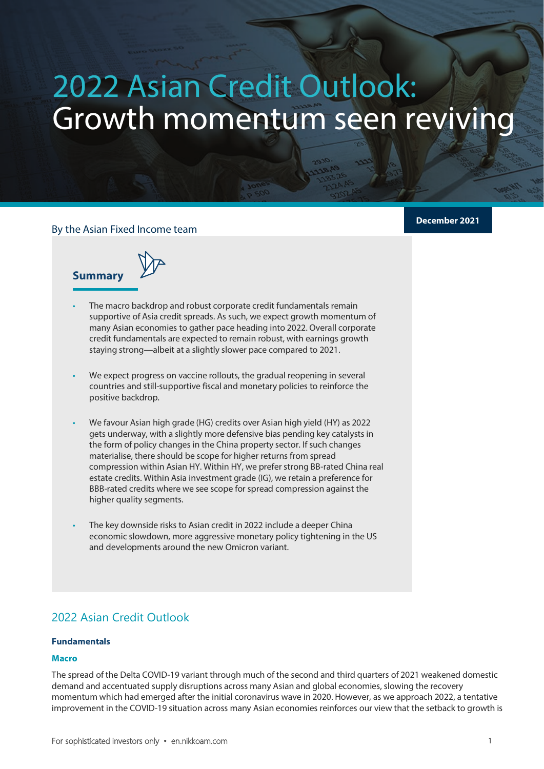# 2022 Asian Credit Outlook: Growth momentum seen reviving

# By the Asian Fixed Income team

**2022 Asian Credit Outlook 2022** 

**Summary**

- The macro backdrop and robust corporate credit fundamentals remain supportive of Asia credit spreads. As such, we expect growth momentum of many Asian economies to gather pace heading into 2022. Overall corporate credit fundamentals are expected to remain robust, with earnings growth staying strong—albeit at a slightly slower pace compared to 2021.
- We expect progress on vaccine rollouts, the gradual reopening in several countries and still-supportive fiscal and monetary policies to reinforce the positive backdrop.
- We favour Asian high grade (HG) credits over Asian high yield (HY) as 2022 gets underway, with a slightly more defensive bias pending key catalysts in the form of policy changes in the China property sector. If such changes materialise, there should be scope for higher returns from spread compression within Asian HY. Within HY, we prefer strong BB-rated China real estate credits. Within Asia investment grade (IG), we retain a preference for BBB-rated credits where we see scope for spread compression against the higher quality segments.
- The key downside risks to Asian credit in 2022 include a deeper China economic slowdown, more aggressive monetary policy tightening in the US and developments around the new Omicron variant.

# 2022 Asian Credit Outlook

#### **Fundamentals**

#### **Macro**

The spread of the Delta COVID-19 variant through much of the second and third quarters of 2021 weakened domestic demand and accentuated supply disruptions across many Asian and global economies, slowing the recovery momentum which had emerged after the initial coronavirus wave in 2020. However, as we approach 2022, a tentative improvement in the COVID-19 situation across many Asian economies reinforces our view that the setback to growth is

**December 2021**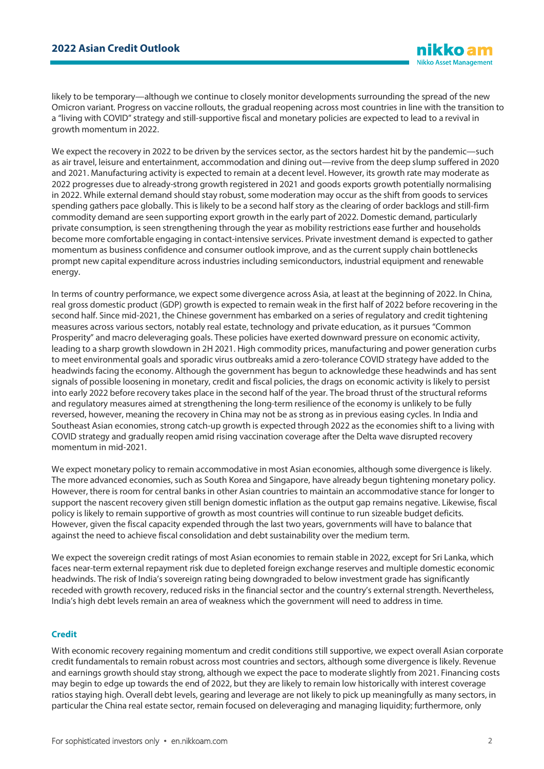likely to be temporary—although we continue to closely monitor developments surrounding the spread of the new Omicron variant. Progress on vaccine rollouts, the gradual reopening across most countries in line with the transition to a "living with COVID" strategy and still-supportive fiscal and monetary policies are expected to lead to a revival in growth momentum in 2022.

We expect the recovery in 2022 to be driven by the services sector, as the sectors hardest hit by the pandemic—such as air travel, leisure and entertainment, accommodation and dining out—revive from the deep slump suffered in 2020 and 2021. Manufacturing activity is expected to remain at a decent level. However, its growth rate may moderate as 2022 progresses due to already-strong growth registered in 2021 and goods exports growth potentially normalising in 2022. While external demand should stay robust, some moderation may occur as the shift from goods to services spending gathers pace globally. This is likely to be a second half story as the clearing of order backlogs and still-firm commodity demand are seen supporting export growth in the early part of 2022. Domestic demand, particularly private consumption, is seen strengthening through the year as mobility restrictions ease further and households become more comfortable engaging in contact-intensive services. Private investment demand is expected to gather momentum as business confidence and consumer outlook improve, and as the current supply chain bottlenecks prompt new capital expenditure across industries including semiconductors, industrial equipment and renewable energy.

In terms of country performance, we expect some divergence across Asia, at least at the beginning of 2022. In China, real gross domestic product (GDP) growth is expected to remain weak in the first half of 2022 before recovering in the second half. Since mid-2021, the Chinese government has embarked on a series of regulatory and credit tightening measures across various sectors, notably real estate, technology and private education, as it pursues "Common Prosperity" and macro deleveraging goals. These policies have exerted downward pressure on economic activity, leading to a sharp growth slowdown in 2H 2021. High commodity prices, manufacturing and power generation curbs to meet environmental goals and sporadic virus outbreaks amid a zero-tolerance COVID strategy have added to the headwinds facing the economy. Although the government has begun to acknowledge these headwinds and has sent signals of possible loosening in monetary, credit and fiscal policies, the drags on economic activity is likely to persist into early 2022 before recovery takes place in the second half of the year. The broad thrust of the structural reforms and regulatory measures aimed at strengthening the long-term resilience of the economy is unlikely to be fully reversed, however, meaning the recovery in China may not be as strong as in previous easing cycles. In India and Southeast Asian economies, strong catch-up growth is expected through 2022 as the economies shift to a living with COVID strategy and gradually reopen amid rising vaccination coverage after the Delta wave disrupted recovery momentum in mid-2021.

We expect monetary policy to remain accommodative in most Asian economies, although some divergence is likely. The more advanced economies, such as South Korea and Singapore, have already begun tightening monetary policy. However, there is room for central banks in other Asian countries to maintain an accommodative stance for longer to support the nascent recovery given still benign domestic inflation as the output gap remains negative. Likewise, fiscal policy is likely to remain supportive of growth as most countries will continue to run sizeable budget deficits. However, given the fiscal capacity expended through the last two years, governments will have to balance that against the need to achieve fiscal consolidation and debt sustainability over the medium term.

We expect the sovereign credit ratings of most Asian economies to remain stable in 2022, except for Sri Lanka, which faces near-term external repayment risk due to depleted foreign exchange reserves and multiple domestic economic headwinds. The risk of India's sovereign rating being downgraded to below investment grade has significantly receded with growth recovery, reduced risks in the financial sector and the country's external strength. Nevertheless, India's high debt levels remain an area of weakness which the government will need to address in time.

#### **Credit**

With economic recovery regaining momentum and credit conditions still supportive, we expect overall Asian corporate credit fundamentals to remain robust across most countries and sectors, although some divergence is likely. Revenue and earnings growth should stay strong, although we expect the pace to moderate slightly from 2021. Financing costs may begin to edge up towards the end of 2022, but they are likely to remain low historically with interest coverage ratios staying high. Overall debt levels, gearing and leverage are not likely to pick up meaningfully as many sectors, in particular the China real estate sector, remain focused on deleveraging and managing liquidity; furthermore, only

**iikkoa Nikko Asset Management**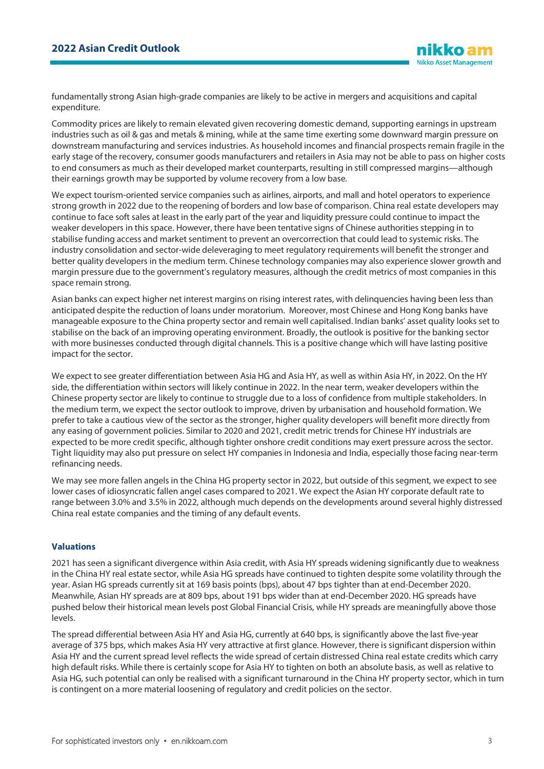fundamentally strong Asian high-grade companies are likely to be active in mergers and acquisitions and capital expenditure.

Commodity prices are likely to remain elevated given recovering domestic demand, supporting earnings in upstream industries such as oil & gas and metals & mining, while at the same time exerting some downward margin pressure on downstream manufacturing and services industries. As household incomes and financial prospects remain fragile in the early stage of the recovery, consumer goods manufacturers and retailers in Asia may not be able to pass on higher costs to end consumers as much as their developed market counterparts, resulting in still compressed margins—although their earnings growth may be supported by volume recovery from a low base.

We expect tourism-oriented service companies such as airlines, airports, and mall and hotel operators to experience strong growth in 2022 due to the reopening of borders and low base of comparison. China real estate developers may continue to face soft sales at least in the early part of the year and liquidity pressure could continue to impact the weaker developers in this space. However, there have been tentative signs of Chinese authorities stepping in to stabilise funding access and market sentiment to prevent an overcorrection that could lead to systemic risks. The industry consolidation and sector-wide deleveraging to meet regulatory requirements will benefit the stronger and better quality developers in the medium term. Chinese technology companies may also experience slower growth and margin pressure due to the government's regulatory measures, although the credit metrics of most companies in this space remain strong.

Asian banks can expect higher net interest margins on rising interest rates, with delinquencies having been less than anticipated despite the reduction of loans under moratorium. Moreover, most Chinese and Hong Kong banks have manageable exposure to the China property sector and remain well capitalised. Indian banks' asset quality looks set to stabilise on the back of an improving operating environment. Broadly, the outlook is positive for the banking sector with more businesses conducted through digital channels. This is a positive change which will have lasting positive impact for the sector.

We expect to see greater differentiation between Asia HG and Asia HY, as well as within Asia HY, in 2022. On the HY side, the differentiation within sectors will likely continue in 2022. In the near term, weaker developers within the Chinese property sector are likely to continue to struggle due to a loss of confidence from multiple stakeholders. In the medium term, we expect the sector outlook to improve, driven by urbanisation and household formation. We prefer to take a cautious view of the sector as the stronger, higher quality developers will benefit more directly from any easing of government policies. Similar to 2020 and 2021, credit metric trends for Chinese HY industrials are expected to be more credit specific, although tighter onshore credit conditions may exert pressure across the sector. Tight liquidity may also put pressure on select HY companies in Indonesia and India, especially those facing near-term refinancing needs.

We may see more fallen angels in the China HG property sector in 2022, but outside of this segment, we expect to see lower cases of idiosyncratic fallen angel cases compared to 2021. We expect the Asian HY corporate default rate to range between 3.0% and 3.5% in 2022, although much depends on the developments around several highly distressed China real estate companies and the timing of any default events.

# **Valuations**

2021 has seen a significant divergence within Asia credit, with Asia HY spreads widening significantly due to weakness in the China HY real estate sector, while Asia HG spreads have continued to tighten despite some volatility through the year. Asian HG spreads currently sit at 169 basis points (bps), about 47 bps tighter than at end-December 2020. Meanwhile, Asian HY spreads are at 809 bps, about 191 bps wider than at end-December 2020. HG spreads have pushed below their historical mean levels post Global Financial Crisis, while HY spreads are meaningfully above those levels.

The spread differential between Asia HY and Asia HG, currently at 640 bps, is significantly above the last five-year average of 375 bps, which makes Asia HY very attractive at first glance. However, there is significant dispersion within Asia HY and the current spread level reflects the wide spread of certain distressed China real estate credits which carry high default risks. While there is certainly scope for Asia HY to tighten on both an absolute basis, as well as relative to Asia HG, such potential can only be realised with a significant turnaround in the China HY property sector, which in turn is contingent on a more material loosening of regulatory and credit policies on the sector.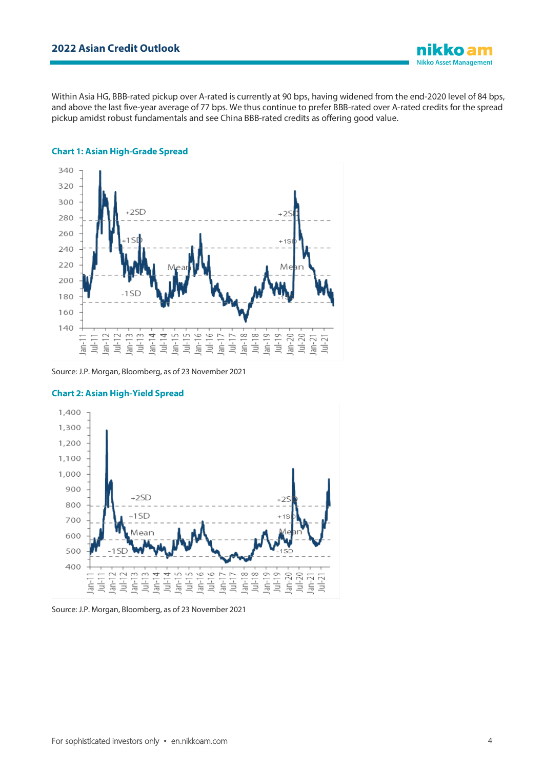Within Asia HG, BBB-rated pickup over A-rated is currently at 90 bps, having widened from the end-2020 level of 84 bps, and above the last five-year average of 77 bps. We thus continue to prefer BBB-rated over A-rated credits for the spread pickup amidst robust fundamentals and see China BBB-rated credits as offering good value.



#### **Chart 1: Asian High-Grade Spread**





#### **Chart 2: Asian High-Yield Spread**

nikko am **Nikko Asset Management** 

Source: J.P. Morgan, Bloomberg, as of 23 November 2021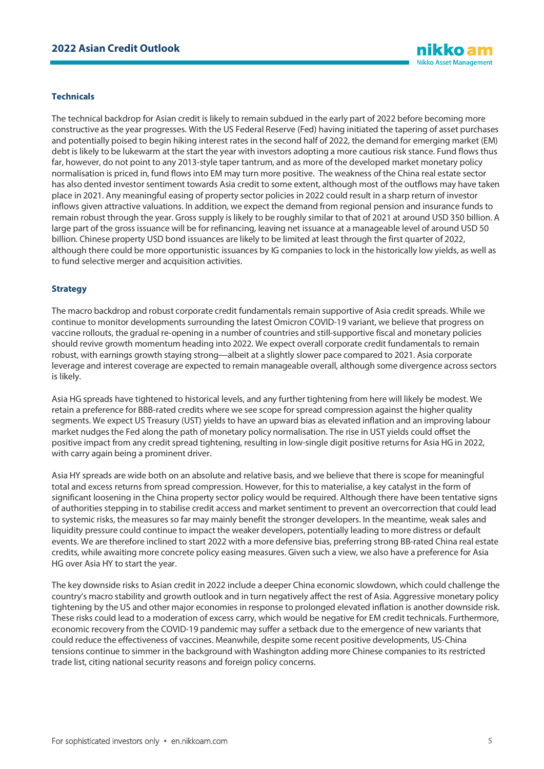#### **Technicals**

The technical backdrop for Asian credit is likely to remain subdued in the early part of 2022 before becoming more constructive as the year progresses. With the US Federal Reserve (Fed) having initiated the tapering of asset purchases and potentially poised to begin hiking interest rates in the second half of 2022, the demand for emerging market (EM) debt is likely to be lukewarm at the start the year with investors adopting a more cautious risk stance. Fund flows thus far, however, do not point to any 2013-style taper tantrum, and as more of the developed market monetary policy normalisation is priced in, fund flows into EM may turn more positive. The weakness of the China real estate sector has also dented investor sentiment towards Asia credit to some extent, although most of the outflows may have taken place in 2021. Any meaningful easing of property sector policies in 2022 could result in a sharp return of investor inflows given attractive valuations. In addition, we expect the demand from regional pension and insurance funds to remain robust through the year. Gross supply is likely to be roughly similar to that of 2021 at around USD 350 billion. A large part of the gross issuance will be for refinancing, leaving net issuance at a manageable level of around USD 50 billion. Chinese property USD bond issuances are likely to be limited at least through the first quarter of 2022, although there could be more opportunistic issuances by IG companies to lock in the historically low yields, as well as to fund selective merger and acquisition activities.

#### **Strategy**

The macro backdrop and robust corporate credit fundamentals remain supportive of Asia credit spreads. While we continue to monitor developments surrounding the latest Omicron COVID-19 variant, we believe that progress on vaccine rollouts, the gradual re-opening in a number of countries and still-supportive fiscal and monetary policies should revive growth momentum heading into 2022. We expect overall corporate credit fundamentals to remain robust, with earnings growth staying strong—albeit at a slightly slower pace compared to 2021. Asia corporate leverage and interest coverage are expected to remain manageable overall, although some divergence across sectors is likely.

Asia HG spreads have tightened to historical levels, and any further tightening from here will likely be modest. We retain a preference for BBB-rated credits where we see scope for spread compression against the higher quality segments. We expect US Treasury (UST) yields to have an upward bias as elevated inflation and an improving labour market nudges the Fed along the path of monetary policy normalisation. The rise in UST yields could offset the positive impact from any credit spread tightening, resulting in low-single digit positive returns for Asia HG in 2022, with carry again being a prominent driver.

Asia HY spreads are wide both on an absolute and relative basis, and we believe that there is scope for meaningful total and excess returns from spread compression. However, for this to materialise, a key catalyst in the form of significant loosening in the China property sector policy would be required. Although there have been tentative signs of authorities stepping in to stabilise credit access and market sentiment to prevent an overcorrection that could lead to systemic risks, the measures so far may mainly benefit the stronger developers. In the meantime, weak sales and liquidity pressure could continue to impact the weaker developers, potentially leading to more distress or default events. We are therefore inclined to start 2022 with a more defensive bias, preferring strong BB-rated China real estate credits, while awaiting more concrete policy easing measures. Given such a view, we also have a preference for Asia HG over Asia HY to start the year.

The key downside risks to Asian credit in 2022 include a deeper China economic slowdown, which could challenge the country's macro stability and growth outlook and in turn negatively affect the rest of Asia. Aggressive monetary policy tightening by the US and other major economies in response to prolonged elevated inflation is another downside risk. These risks could lead to a moderation of excess carry, which would be negative for EM credit technicals. Furthermore, economic recovery from the COVID-19 pandemic may suffer a setback due to the emergence of new variants that could reduce the effectiveness of vaccines. Meanwhile, despite some recent positive developments, US-China tensions continue to simmer in the background with Washington adding more Chinese companies to its restricted trade list, citing national security reasons and foreign policy concerns.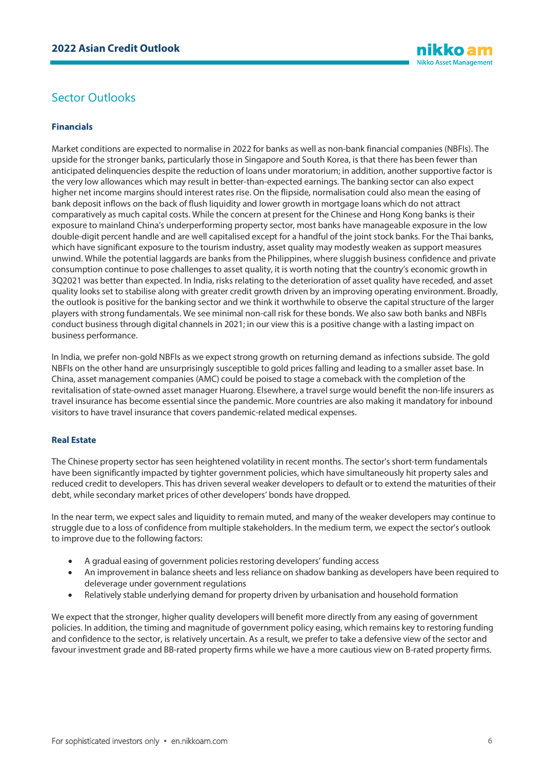# Sector Outlooks

# **Financials**

Market conditions are expected to normalise in 2022 for banks as well as non-bank financial companies (NBFIs). The upside for the stronger banks, particularly those in Singapore and South Korea, is that there has been fewer than anticipated delinquencies despite the reduction of loans under moratorium; in addition, another supportive factor is the very low allowances which may result in better-than-expected earnings. The banking sector can also expect higher net income margins should interest rates rise. On the flipside, normalisation could also mean the easing of bank deposit inflows on the back of flush liquidity and lower growth in mortgage loans which do not attract comparatively as much capital costs. While the concern at present for the Chinese and Hong Kong banks is their exposure to mainland China's underperforming property sector, most banks have manageable exposure in the low double-digit percent handle and are well capitalised except for a handful of the joint stock banks. For the Thai banks, which have significant exposure to the tourism industry, asset quality may modestly weaken as support measures unwind. While the potential laggards are banks from the Philippines, where sluggish business confidence and private consumption continue to pose challenges to asset quality, it is worth noting that the country's economic growth in 3Q2021 was better than expected. In India, risks relating to the deterioration of asset quality have receded, and asset quality looks set to stabilise along with greater credit growth driven by an improving operating environment. Broadly, the outlook is positive for the banking sector and we think it worthwhile to observe the capital structure of the larger players with strong fundamentals. We see minimal non-call risk for these bonds. We also saw both banks and NBFIs conduct business through digital channels in 2021; in our view this is a positive change with a lasting impact on business performance.

In India, we prefer non-gold NBFIs as we expect strong growth on returning demand as infections subside. The gold NBFIs on the other hand are unsurprisingly susceptible to gold prices falling and leading to a smaller asset base. In China, asset management companies (AMC) could be poised to stage a comeback with the completion of the revitalisation ofstate-owned asset manager Huarong. Elsewhere, a travel surge would benefit the non-life insurers as travel insurance has become essential since the pandemic. More countries are also making it mandatory for inbound visitors to have travel insurance that covers pandemic-related medical expenses.

# **Real Estate**

The Chinese property sector has seen heightened volatility in recent months. The sector's short-term fundamentals have been significantly impacted by tighter government policies, which have simultaneously hit property sales and reduced credit to developers. This has driven several weaker developers to default or to extend the maturities of their debt, while secondary market prices of other developers' bonds have dropped.

In the near term, we expect sales and liquidity to remain muted, and many of the weaker developers may continue to struggle due to a loss of confidence from multiple stakeholders. In the medium term, we expect the sector's outlook to improve due to the following factors:

- A gradual easing of government policies restoring developers' funding access
- An improvement in balance sheets and less reliance on shadow banking as developers have been required to deleverage under government regulations
- Relatively stable underlying demand for property driven by urbanisation and household formation

We expect that the stronger, higher quality developers will benefit more directly from any easing of government policies. In addition, the timing and magnitude of government policy easing, which remains key to restoring funding and confidence to the sector, is relatively uncertain. As a result, we prefer to take a defensive view of the sector and favour investment grade and BB-rated property firms while we have a more cautious view on B-rated property firms.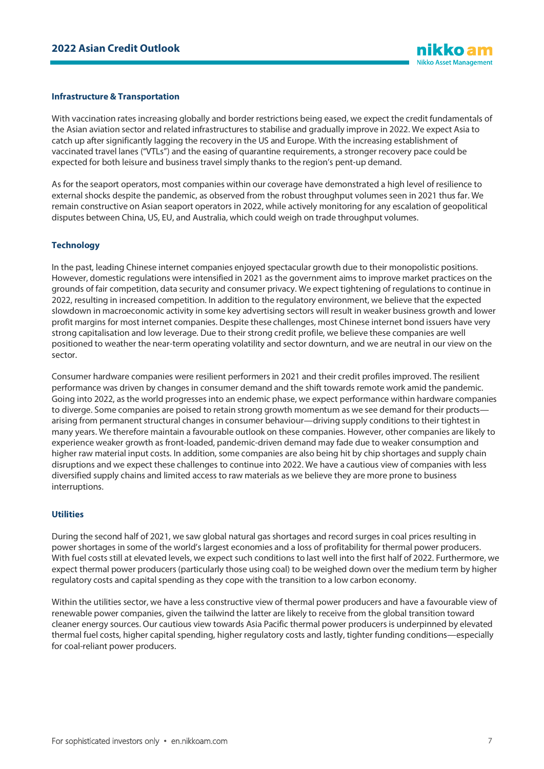#### **Infrastructure & Transportation**

With vaccination rates increasing globally and border restrictions being eased, we expect the credit fundamentals of the Asian aviation sector and related infrastructures to stabilise and gradually improve in 2022. We expect Asia to catch up after significantly lagging the recovery in the US and Europe. With the increasing establishment of vaccinated travel lanes ("VTLs") and the easing of quarantine requirements, a stronger recovery pace could be expected for both leisure and business travel simply thanks to the region's pent-up demand.

As for the seaport operators, most companies within our coverage have demonstrated a high level of resilience to external shocks despite the pandemic, as observed from the robust throughput volumes seen in 2021 thus far. We remain constructive on Asian seaport operators in 2022, while actively monitoring for any escalation of geopolitical disputes between China, US, EU, and Australia, which could weigh on trade throughput volumes.

#### **Technology**

In the past, leading Chinese internet companies enjoyed spectacular growth due to their monopolistic positions. However, domestic regulations were intensified in 2021 as the government aims to improve market practices on the grounds of fair competition, data security and consumer privacy. We expect tightening of regulations to continue in 2022, resulting in increased competition. In addition to the regulatory environment, we believe that the expected slowdown in macroeconomic activity in some key advertising sectors will result in weaker business growth and lower profit margins for most internet companies. Despite these challenges, most Chinese internet bond issuers have very strong capitalisation and low leverage. Due to their strong credit profile, we believe these companies are well positioned to weather the near-term operating volatility and sector downturn, and we are neutral in our view on the sector.

Consumer hardware companies were resilient performers in 2021 and their credit profiles improved. The resilient performance was driven by changes in consumer demand and the shift towards remote work amid the pandemic. Going into 2022, as the world progresses into an endemic phase, we expect performance within hardware companies to diverge. Some companies are poised to retain strong growth momentum as we see demand for their products– arising from permanent structural changes in consumer behaviour—driving supply conditions to their tightest in many years. We therefore maintain a favourable outlook on these companies. However, other companies are likely to experience weaker growth as front-loaded, pandemic-driven demand may fade due to weaker consumption and higher raw material input costs. In addition, some companies are also being hit by chip shortages and supply chain disruptions and we expect these challenges to continue into 2022. We have a cautious view of companies with less diversified supply chains and limited access to raw materials as we believe they are more prone to business interruptions.

#### **Utilities**

During the second half of 2021, we saw global natural gas shortages and record surges in coal prices resulting in power shortages in some of the world's largest economies and a loss of profitability for thermal power producers. With fuel costs still at elevated levels, we expect such conditions to last well into the first half of 2022. Furthermore, we expect thermal power producers (particularly those using coal) to be weighed down over the medium term by higher regulatory costs and capital spending as they cope with the transition to a low carbon economy.

Within the utilities sector, we have a less constructive view of thermal power producers and have a favourable view of renewable power companies, given the tailwind the latter are likely to receive from the global transition toward cleaner energy sources. Our cautious view towards Asia Pacific thermal power producers is underpinned by elevated thermal fuel costs, higher capital spending, higher regulatory costs and lastly, tighter funding conditions—especially for coal-reliant power producers.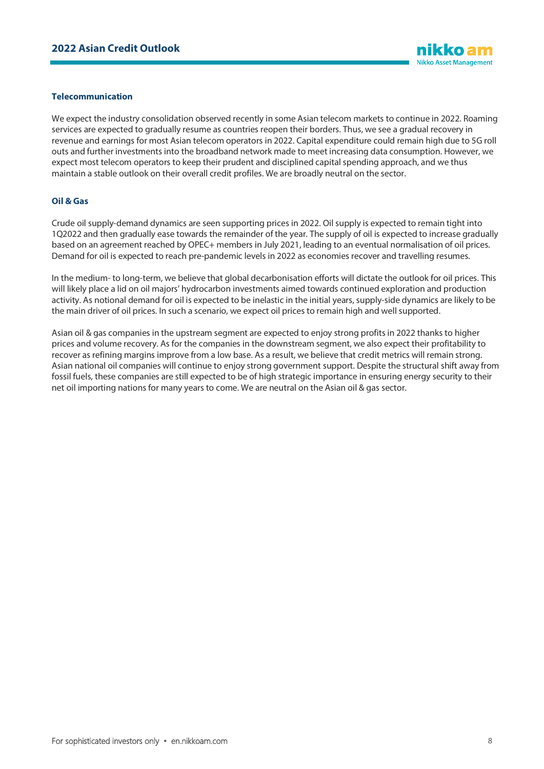### **Telecommunication**

We expect the industry consolidation observed recently in some Asian telecom markets to continue in 2022. Roaming services are expected to gradually resume as countries reopen their borders. Thus, we see a gradual recovery in revenue and earnings for most Asian telecom operators in 2022. Capital expenditure could remain high due to 5G roll outs and further investments into the broadband network made to meet increasing data consumption. However, we expect most telecom operators to keep their prudent and disciplined capital spending approach, and we thus maintain a stable outlook on their overall credit profiles. We are broadly neutral on the sector.

# **Oil & Gas**

Crude oil supply-demand dynamics are seen supporting prices in 2022. Oil supply is expected to remain tight into 1Q2022 and then gradually ease towards the remainder of the year. The supply of oil is expected to increase gradually based on an agreement reached by OPEC+ members in July 2021, leading to an eventual normalisation of oil prices. Demand for oil is expected to reach pre-pandemic levels in 2022 as economies recover and travelling resumes.

In the medium- to long-term, we believe that global decarbonisation efforts will dictate the outlook for oil prices. This will likely place a lid on oil majors' hydrocarbon investments aimed towards continued exploration and production activity. As notional demand for oil is expected to be inelastic in the initial years, supply-side dynamics are likely to be the main driver of oil prices. In such a scenario, we expect oil prices to remain high and well supported.

Asian oil & gas companies in the upstream segment are expected to enjoy strong profits in 2022 thanks to higher prices and volume recovery. As for the companies in the downstream segment, we also expect their profitability to recover as refining margins improve from a low base. As a result, we believe that credit metrics will remain strong. Asian national oil companies will continue to enjoy strong government support. Despite the structural shift away from fossil fuels, these companies are still expected to be of high strategic importance in ensuring energy security to their net oil importing nations for many years to come. We are neutral on the Asian oil & gas sector.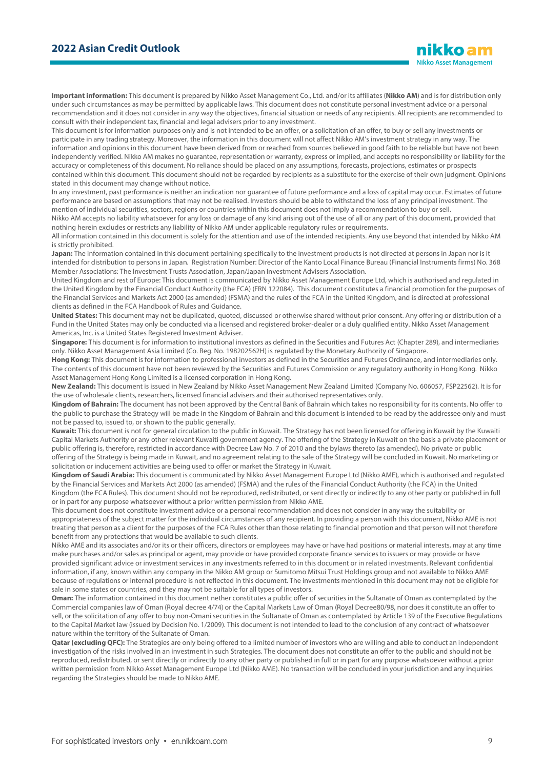**Important information:** This document is prepared by Nikko Asset Management Co., Ltd. and/or its affiliates (**Nikko AM**) and is for distribution only under such circumstances as may be permitted by applicable laws. This document does not constitute personal investment advice or a personal recommendation and it does not consider in any way the objectives, financial situation or needs of any recipients. All recipients are recommended to consult with their independent tax, financial and legal advisers prior to any investment.

This document is for information purposes only and is not intended to be an offer, or a solicitation of an offer, to buy or sell any investments or participate in any trading strategy. Moreover, the information in this document will not affect Nikko AM's investment strategy in any way. The information and opinions in this document have been derived from or reached from sources believed in good faith to be reliable but have not been independently verified. Nikko AM makes no guarantee, representation or warranty, express or implied, and accepts no responsibility or liability for the accuracy or completeness of this document. No reliance should be placed on any assumptions, forecasts, projections, estimates or prospects contained within this document. This document should not be regarded by recipients as a substitute for the exercise of their own judgment. Opinions stated in this document may change without notice.

In any investment, past performance is neither an indication nor guarantee of future performance and a loss of capital may occur. Estimates of future performance are based on assumptions that may not be realised. Investors should be able to withstand the loss of any principal investment. The mention of individual securities, sectors, regions or countries within this document does not imply a recommendation to buy or sell.

Nikko AM accepts no liability whatsoever for any loss or damage of any kind arising out of the use of all or any part of this document, provided that nothing herein excludes or restricts any liability of Nikko AM under applicable regulatory rules or requirements.

All information contained in this document is solely for the attention and use of the intended recipients. Any use beyond that intended by Nikko AM is strictly prohibited.

Japan: The information contained in this document pertaining specifically to the investment products is not directed at persons in Japan nor is it intended for distribution to persons in Japan. Registration Number: Director of the Kanto Local Finance Bureau (Financial Instruments firms) No. 368 Member Associations: The Investment Trusts Association, Japan/Japan Investment Advisers Association.

United Kingdom and rest of Europe: This document is communicated by Nikko Asset Management Europe Ltd, which is authorised and regulated in the United Kingdom by the Financial Conduct Authority (the FCA) (FRN 122084). This document constitutes a financial promotion for the purposes of the Financial Services and Markets Act 2000 (as amended) (FSMA) and the rules of the FCA in the United Kingdom, and is directed at professional clients as defined in the FCA Handbook of Rules and Guidance.

**United States:** This document may not be duplicated, quoted, discussed or otherwise shared without prior consent. Any offering or distribution of a Fund in the United States may only be conducted via a licensed and registered broker-dealer or a duly qualified entity. Nikko Asset Management Americas, Inc. is a United States Registered Investment Adviser.

**Singapore:** This document is for information to institutional investors as defined in the Securities and Futures Act (Chapter 289), and intermediaries only. Nikko Asset Management Asia Limited (Co. Reg. No. 198202562H) is regulated by the Monetary Authority of Singapore.

**Hong Kong:** This document is for information to professional investors as defined in the Securities and Futures Ordinance, and intermediaries only. The contents of this document have not been reviewed by the Securities and Futures Commission or any regulatory authority in Hong Kong. Nikko Asset Management Hong Kong Limited is a licensed corporation in Hong Kong.

**New Zealand:** This document is issued in New Zealand by Nikko Asset Management New Zealand Limited (Company No. 606057, FSP22562). It is for the use of wholesale clients, researchers, licensed financial advisers and their authorised representatives only.

**Kingdom of Bahrain:** The document has not been approved by the Central Bank of Bahrain which takes no responsibility for its contents. No offer to the public to purchase the Strategy will be made in the Kingdom of Bahrain and this document is intended to be read by the addressee only and must not be passed to, issued to, or shown to the public generally.

**Kuwait:** This document is not for general circulation to the public in Kuwait. The Strategy has not been licensed for offering in Kuwait by the Kuwaiti Capital Markets Authority or any other relevant Kuwaiti government agency. The offering of the Strategy in Kuwait on the basis a private placement or public offering is, therefore, restricted in accordance with Decree Law No. 7 of 2010 and the bylaws thereto (as amended). No private or public offering of the Strategy is being made in Kuwait, and no agreement relating to the sale of the Strategy will be concluded in Kuwait. No marketing or solicitation or inducement activities are being used to offer or market the Strategy in Kuwait.

**Kingdom of Saudi Arabia:** This document is communicated by Nikko Asset Management Europe Ltd (Nikko AME), which is authorised and regulated by the Financial Services and Markets Act 2000 (as amended) (FSMA) and the rules of the Financial Conduct Authority (the FCA) in the United Kingdom (the FCA Rules). This document should not be reproduced, redistributed, or sent directly or indirectly to any other party or published in full or in part for any purpose whatsoever without a prior written permission from Nikko AME.

This document does not constitute investment advice or a personal recommendation and does not consider in any way the suitability or appropriateness of the subject matter for the individual circumstances of any recipient. In providing a person with this document, Nikko AME is not treating that person as a client for the purposes of the FCA Rules other than those relating to financial promotion and that person will not therefore benefit from any protections that would be available to such clients.

Nikko AME and its associates and/or its or their officers, directors or employees may have or have had positions or material interests, may at any time make purchases and/or sales as principal or agent, may provide or have provided corporate finance services to issuers or may provide or have provided significant advice or investment services in any investments referred to in this document or in related investments. Relevant confidential information, if any, known within any company in the Nikko AM group or Sumitomo Mitsui Trust Holdings group and not available to Nikko AME because of regulations or internal procedure is not reflected in this document. The investments mentioned in this document may not be eligible for sale in some states or countries, and they may not be suitable for all types of investors.

**Oman:** The information contained in this document nether constitutes a public offer of securities in the Sultanate of Oman as contemplated by the Commercial companies law of Oman (Royal decree 4/74) or the Capital Markets Law of Oman (Royal Decree80/98, nor does it constitute an offer to sell, or the solicitation of any offer to buy non-Omani securities in the Sultanate of Oman as contemplated by Article 139 of the Executive Regulations to the Capital Market law (issued by Decision No. 1/2009). This document is not intended to lead to the conclusion of any contract of whatsoever nature within the territory of the Sultanate of Oman.

Qatar (excluding QFC): The Strategies are only being offered to a limited number of investors who are willing and able to conduct an independent investigation of the risks involved in an investment in such Strategies. The document does not constitute an offer to the public and should not be reproduced, redistributed, or sent directly or indirectly to any other party or published in full or in part for any purpose whatsoever without a prior written permission from Nikko Asset Management Europe Ltd (Nikko AME). No transaction will be concluded in your jurisdiction and any inquiries regarding the Strategies should be made to Nikko AME.